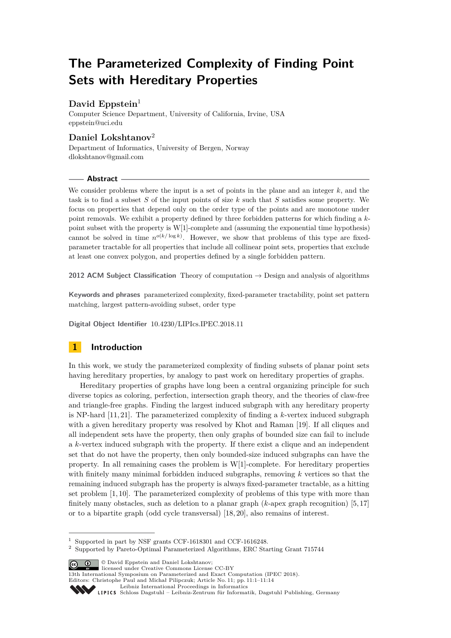# **The Parameterized Complexity of Finding Point Sets with Hereditary Properties**

# **David Eppstein**<sup>1</sup>

Computer Science Department, University of California, Irvine, USA [eppstein@uci.edu](mailto:eppstein@uci.edu)

# **Daniel Lokshtanov**<sup>2</sup>

Department of Informatics, University of Bergen, Norway [dlokshtanov@gmail.com](mailto:dlokshtanov@gmail.com)

**Abstract**

We consider problems where the input is a set of points in the plane and an integer *k*, and the task is to find a subset *S* of the input points of size *k* such that *S* satisfies some property. We focus on properties that depend only on the order type of the points and are monotone under point removals. We exhibit a property defined by three forbidden patterns for which finding a *k*point subset with the property is W[1]-complete and (assuming the exponential time hypothesis) cannot be solved in time  $n^{o(k/\log k)}$ . However, we show that problems of this type are fixedparameter tractable for all properties that include all collinear point sets, properties that exclude at least one convex polygon, and properties defined by a single forbidden pattern.

**2012 ACM Subject Classification** Theory of computation → Design and analysis of algorithms

**Keywords and phrases** parameterized complexity, fixed-parameter tractability, point set pattern matching, largest pattern-avoiding subset, order type

**Digital Object Identifier** [10.4230/LIPIcs.IPEC.2018.11](https://doi.org/10.4230/LIPIcs.IPEC.2018.11)

# **1 Introduction**

In this work, we study the parameterized complexity of finding subsets of planar point sets having hereditary properties, by analogy to past work on hereditary properties of graphs.

Hereditary properties of graphs have long been a central organizing principle for such diverse topics as coloring, perfection, intersection graph theory, and the theories of claw-free and triangle-free graphs. Finding the largest induced subgraph with any hereditary property is NP-hard [\[11,](#page-12-0) [21\]](#page-13-0). The parameterized complexity of finding a *k*-vertex induced subgraph with a given hereditary property was resolved by Khot and Raman [\[19\]](#page-13-1). If all cliques and all independent sets have the property, then only graphs of bounded size can fail to include a *k*-vertex induced subgraph with the property. If there exist a clique and an independent set that do not have the property, then only bounded-size induced subgraphs can have the property. In all remaining cases the problem is W[1]-complete. For hereditary properties with finitely many minimal forbidden induced subgraphs, removing *k* vertices so that the remaining induced subgraph has the property is always fixed-parameter tractable, as a hitting set problem [\[1,](#page-12-1) [10\]](#page-12-2). The parameterized complexity of problems of this type with more than finitely many obstacles, such as deletion to a planar graph (*k*-apex graph recognition) [\[5,](#page-12-3) [17\]](#page-12-4) or to a bipartite graph (odd cycle transversal) [\[18,](#page-12-5) [20\]](#page-13-2), also remains of interest.

© David Eppstein and Daniel Lokshtanov; licensed under Creative Commons License CC-BY

13th International Symposium on Parameterized and Exact Computation (IPEC 2018). Editors: Christophe Paul and Michał Pilipczuk; Article No. 11; pp. 11:1–11[:14](#page-13-3)

[Leibniz International Proceedings in Informatics](http://www.dagstuhl.de/lipics/)

<sup>1</sup> Supported in part by NSF grants CCF-1618301 and CCF-1616248.

<sup>2</sup> Supported by Pareto-Optimal Parameterized Algorithms, ERC Starting Grant 715744

Leibniz international ruse einigs in missimosischen Publishing, Germany<br>LIPICS [Schloss Dagstuhl – Leibniz-Zentrum für Informatik, Dagstuhl Publishing, Germany](http://www.dagstuhl.de)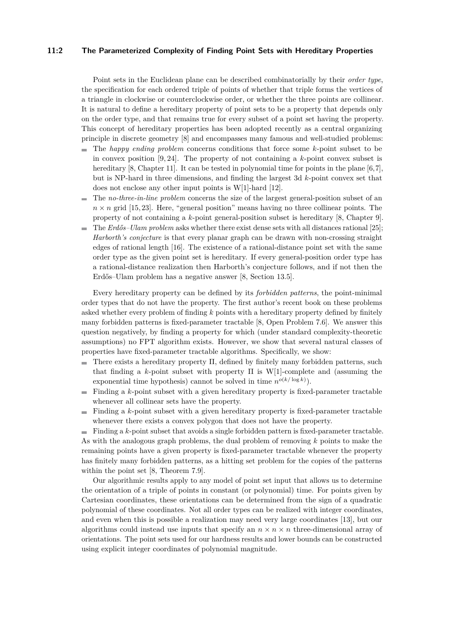#### **11:2 The Parameterized Complexity of Finding Point Sets with Hereditary Properties**

Point sets in the Euclidean plane can be described combinatorially by their *order type*, the specification for each ordered triple of points of whether that triple forms the vertices of a triangle in clockwise or counterclockwise order, or whether the three points are collinear. It is natural to define a hereditary property of point sets to be a property that depends only on the order type, and that remains true for every subset of a point set having the property. This concept of hereditary properties has been adopted recently as a central organizing principle in discrete geometry [\[8\]](#page-12-6) and encompasses many famous and well-studied problems:

- The *happy ending problem* concerns conditions that force some *k*-point subset to be ÷. in convex position [\[9,](#page-12-7) [24\]](#page-13-4). The property of not containing a *k*-point convex subset is hereditary [\[8,](#page-12-6) Chapter 11]. It can be tested in polynomial time for points in the plane [\[6,](#page-12-8)[7\]](#page-12-9), but is NP-hard in three dimensions, and finding the largest 3d *k*-point convex set that does not enclose any other input points is W[1]-hard [\[12\]](#page-12-10).
- The *no-three-in-line problem* concerns the size of the largest general-position subset of an m.  $n \times n$  grid [\[15,](#page-12-11) [23\]](#page-13-5). Here, "general position" means having no three collinear points. The property of not containing a *k*-point general-position subset is hereditary [\[8,](#page-12-6) Chapter 9].
- The *Erdős–Ulam problem* asks whether there exist dense sets with all distances rational [\[25\]](#page-13-6); *Harborth's conjecture* is that every planar graph can be drawn with non-crossing straight edges of rational length [\[16\]](#page-12-12). The existence of a rational-distance point set with the same order type as the given point set is hereditary. If every general-position order type has a rational-distance realization then Harborth's conjecture follows, and if not then the Erdős–Ulam problem has a negative answer [\[8,](#page-12-6) Section 13.5].

Every hereditary property can be defined by its *forbidden patterns*, the point-minimal order types that do not have the property. The first author's recent book on these problems asked whether every problem of finding *k* points with a hereditary property defined by finitely many forbidden patterns is fixed-parameter tractable [\[8,](#page-12-6) Open Problem 7.6]. We answer this question negatively, by finding a property for which (under standard complexity-theoretic assumptions) no FPT algorithm exists. However, we show that several natural classes of properties have fixed-parameter tractable algorithms. Specifically, we show:

- $\bar{a}$ There exists a hereditary property Π, defined by finitely many forbidden patterns, such that finding a *k*-point subset with property Π is W[1]-complete and (assuming the exponential time hypothesis) cannot be solved in time  $n^{o(k/\log k)}$ .
- Finding a *k*-point subset with a given hereditary property is fixed-parameter tractable m. whenever all collinear sets have the property.
- $\blacksquare$  Finding a *k*-point subset with a given hereditary property is fixed-parameter tractable whenever there exists a convex polygon that does not have the property.

Finding a *k*-point subset that avoids a single forbidden pattern is fixed-parameter tractable. As with the analogous graph problems, the dual problem of removing *k* points to make the remaining points have a given property is fixed-parameter tractable whenever the property has finitely many forbidden patterns, as a hitting set problem for the copies of the patterns within the point set [\[8,](#page-12-6) Theorem 7.9].

Our algorithmic results apply to any model of point set input that allows us to determine the orientation of a triple of points in constant (or polynomial) time. For points given by Cartesian coordinates, these orientations can be determined from the sign of a quadratic polynomial of these coordinates. Not all order types can be realized with integer coordinates, and even when this is possible a realization may need very large coordinates [\[13\]](#page-12-13), but our algorithms could instead use inputs that specify an  $n \times n \times n$  three-dimensional array of orientations. The point sets used for our hardness results and lower bounds can be constructed using explicit integer coordinates of polynomial magnitude.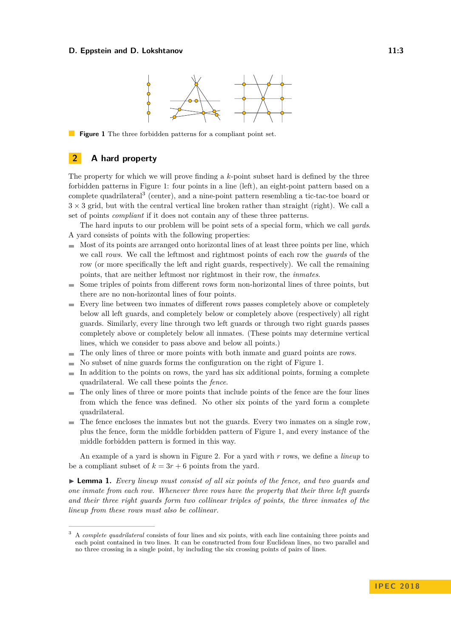#### <span id="page-2-0"></span>**D. Eppstein and D. Lokshtanov 11:3 11:3**



**Figure 1** The three forbidden patterns for a compliant point set.

### **2 A hard property**

The property for which we will prove finding a *k*-point subset hard is defined by the three forbidden patterns in [Figure 1:](#page-2-0) four points in a line (left), an eight-point pattern based on a complete quadrilateral[3](#page-2-1) (center), and a nine-point pattern resembling a tic-tac-toe board or  $3 \times 3$  grid, but with the central vertical line broken rather than straight (right). We call a set of points *compliant* if it does not contain any of these three patterns.

The hard inputs to our problem will be point sets of a special form, which we call *yards*. A yard consists of points with the following properties:

- $\blacksquare$  Most of its points are arranged onto horizontal lines of at least three points per line, which we call *rows*. We call the leftmost and rightmost points of each row the *guards* of the row (or more specifically the left and right guards, respectively). We call the remaining points, that are neither leftmost nor rightmost in their row, the *inmates*.
- Some triples of points from different rows form non-horizontal lines of three points, but there are no non-horizontal lines of four points.
- Every line between two inmates of different rows passes completely above or completely below all left guards, and completely below or completely above (respectively) all right guards. Similarly, every line through two left guards or through two right guards passes completely above or completely below all inmates. (These points may determine vertical lines, which we consider to pass above and below all points.)
- The only lines of three or more points with both inmate and guard points are rows.  $\frac{1}{2}$
- No subset of nine guards forms the configuration on the right of [Figure 1.](#page-2-0)
- In addition to the points on rows, the yard has six additional points, forming a complete  $\sim$ quadrilateral. We call these points the *fence*.
- The only lines of three or more points that include points of the fence are the four lines  $\overline{\phantom{a}}$ from which the fence was defined. No other six points of the yard form a complete quadrilateral.
- $\blacksquare$  The fence encloses the inmates but not the guards. Every two inmates on a single row, plus the fence, form the middle forbidden pattern of [Figure 1,](#page-2-0) and every instance of the middle forbidden pattern is formed in this way.

An example of a yard is shown in [Figure 2.](#page-3-0) For a yard with *r* rows, we define a *lineup* to be a compliant subset of  $k = 3r + 6$  points from the yard.

<span id="page-2-2"></span>► **Lemma 1.** *Every lineup must consist of all six points of the fence, and two guards and one inmate from each row. Whenever three rows have the property that their three left guards and their three right guards form two collinear triples of points, the three inmates of the lineup from these rows must also be collinear.*

<span id="page-2-1"></span><sup>3</sup> A *complete quadrilateral* consists of four lines and six points, with each line containing three points and each point contained in two lines. It can be constructed from four Euclidean lines, no two parallel and no three crossing in a single point, by including the six crossing points of pairs of lines.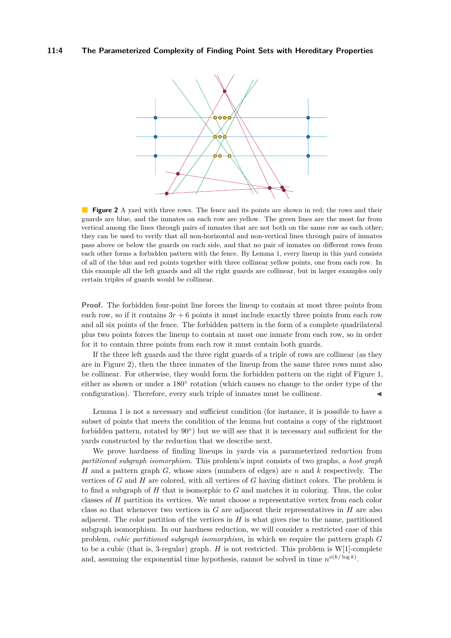<span id="page-3-0"></span>

**Figure 2** A yard with three rows. The fence and its points are shown in red; the rows and their guards are blue, and the inmates on each row are yellow. The green lines are the most far from vertical among the lines through pairs of inmates that are not both on the same row as each other; they can be used to verify that all non-horizontal and non-vertical lines through pairs of inmates pass above or below the guards on each side, and that no pair of inmates on different rows from each other forms a forbidden pattern with the fence. By [Lemma 1,](#page-2-2) every lineup in this yard consists of all of the blue and red points together with three collinear yellow points, one from each row. In this example all the left guards and all the right guards are collinear, but in larger examples only certain triples of guards would be collinear.

**Proof.** The forbidden four-point line forces the lineup to contain at most three points from each row, so if it contains  $3r + 6$  points it must include exactly three points from each row and all six points of the fence. The forbidden pattern in the form of a complete quadrilateral plus two points forces the lineup to contain at most one inmate from each row, so in order for it to contain three points from each row it must contain both guards.

If the three left guards and the three right guards of a triple of rows are collinear (as they are in [Figure 2\)](#page-3-0), then the three inmates of the lineup from the same three rows must also be collinear. For otherwise, they would form the forbidden pattern on the right of [Figure 1,](#page-2-0) either as shown or under a 180° rotation (which causes no change to the order type of the configuration). Therefore, every such triple of inmates must be collinear.

[Lemma 1](#page-2-2) is not a necessary and sufficient condition (for instance, it is possible to have a subset of points that meets the condition of the lemma but contains a copy of the rightmost forbidden pattern, rotated by  $90^{\circ}$ ) but we will see that it is necessary and sufficient for the yards constructed by the reduction that we describe next.

We prove hardness of finding lineups in yards via a parameterized reduction from *partitioned subgraph isomorphism*. This problem's input consists of two graphs, a *host graph H* and a pattern graph *G*, whose sizes (numbers of edges) are *n* and *k* respectively. The vertices of *G* and *H* are colored, with all vertices of *G* having distinct colors. The problem is to find a subgraph of *H* that is isomorphic to *G* and matches it in coloring. Thus, the color classes of *H* partition its vertices. We must choose a representative vertex from each color class so that whenever two vertices in *G* are adjacent their representatives in *H* are also adjacent. The color partition of the vertices in  $H$  is what gives rise to the name, partitioned subgraph isomorphism. In our hardness reduction, we will consider a restricted case of this problem, *cubic partitioned subgraph isomorphism*, in which we require the pattern graph *G* to be a cubic (that is, 3-regular) graph. *H* is not restricted. This problem is W[1]-complete and, assuming the exponential time hypothesis, cannot be solved in time  $n^{o(k/\log k)}$ .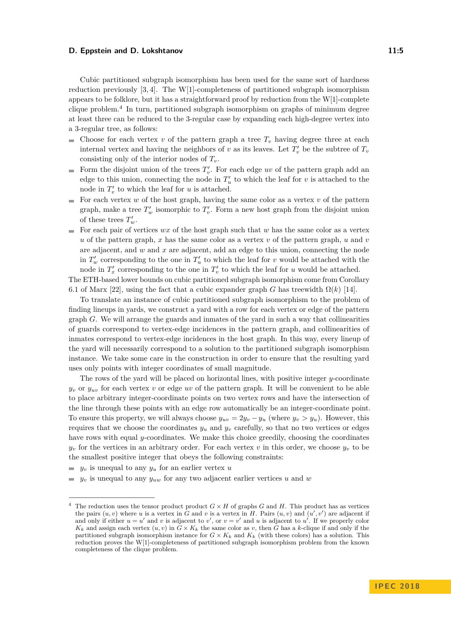#### **D. Eppstein and D. Lokshtanov 11:5** and 11:5

Cubic partitioned subgraph isomorphism has been used for the same sort of hardness reduction previously [\[3,](#page-12-14) [4\]](#page-12-15). The W[1]-completeness of partitioned subgraph isomorphism appears to be folklore, but it has a straightforward proof by reduction from the W[1]-complete clique problem.[4](#page-4-0) In turn, partitioned subgraph isomorphism on graphs of minimum degree at least three can be reduced to the 3-regular case by expanding each high-degree vertex into a 3-regular tree, as follows:

- $\mathbf{r}$ Choose for each vertex  $v$  of the pattern graph a tree  $T_v$  having degree three at each internal vertex and having the neighbors of *v* as its leaves. Let  $T_v'$  be the subtree of  $T_v$ consisting only of the interior nodes of *Tv*.
- Form the disjoint union of the trees  $T_v'$ . For each edge *uv* of the pattern graph add an  $\overline{\phantom{a}}$ edge to this union, connecting the node in  $T'_u$  to which the leaf for *v* is attached to the node in  $T_v'$  to which the leaf for  $u$  is attached.
- For each vertex  $w$  of the host graph, having the same color as a vertex  $v$  of the pattern graph, make a tree  $T'_w$  isomorphic to  $T'_v$ . Form a new host graph from the disjoint union of these trees  $T'_w$ .
- For each pair of vertices  $wx$  of the host graph such that  $w$  has the same color as a vertex *u* of the pattern graph, *x* has the same color as a vertex *v* of the pattern graph, *u* and *v* are adjacent, and *w* and *x* are adjacent, add an edge to this union, connecting the node in  $T'_w$  corresponding to the one in  $T'_u$  to which the leaf for *v* would be attached with the node in  $T_x'$  corresponding to the one in  $T_v'$  to which the leaf for *u* would be attached.

The ETH-based lower bounds on cubic partitioned subgraph isomorphism come from Corollary 6.1 of Marx [\[22\]](#page-13-7), using the fact that a cubic expander graph *G* has treewidth  $\Omega(k)$  [\[14\]](#page-12-16).

To translate an instance of cubic partitioned subgraph isomorphism to the problem of finding lineups in yards, we construct a yard with a row for each vertex or edge of the pattern graph *G*. We will arrange the guards and inmates of the yard in such a way that collinearities of guards correspond to vertex-edge incidences in the pattern graph, and collinearities of inmates correspond to vertex-edge incidences in the host graph. In this way, every lineup of the yard will necessarily correspond to a solution to the partitioned subgraph isomorphism instance. We take some care in the construction in order to ensure that the resulting yard uses only points with integer coordinates of small magnitude.

The rows of the yard will be placed on horizontal lines, with positive integer *y*-coordinate  $y_v$  or  $y_{uv}$  for each vertex *v* or edge *uv* of the pattern graph. It will be convenient to be able to place arbitrary integer-coordinate points on two vertex rows and have the intersection of the line through these points with an edge row automatically be an integer-coordinate point. To ensure this property, we will always choose  $y_{uv} = 2y_v - y_u$  (where  $y_v > y_u$ ). However, this requires that we choose the coordinates  $y_u$  and  $y_v$  carefully, so that no two vertices or edges have rows with equal *y*-coordinates. We make this choice greedily, choosing the coordinates  $y_v$  for the vertices in an arbitrary order. For each vertex *v* in this order, we choose  $y_v$  to be the smallest positive integer that obeys the following constraints:

- $\bullet$  *y<sub>v</sub>* is unequal to any *y<sub>u</sub>* for an earlier vertex *u*
- $y_v$  is unequal to any  $y_{uw}$  for any two adjacent earlier vertices *u* and *w*

<span id="page-4-0"></span><sup>&</sup>lt;sup>4</sup> The reduction uses the tensor product product  $G \times H$  of graphs  $G$  and  $H$ . This product has as vertices the pairs  $(u, v)$  where *u* is a vertex in *G* and *v* is a vertex in *H*. Pairs  $(u, v)$  and  $(u', v')$  are adjacent if and only if either  $u = u'$  and v is adjacent to  $v'$ , or  $v = v'$  and u is adjacent to  $u'$ . If we properly color  $K_k$  and assign each vertex  $(u, v)$  in  $G \times K_k$  the same color as *v*, then *G* has a *k*-clique if and only if the partitioned subgraph isomorphism instance for  $G \times K_k$  and  $K_k$  (with these colors) has a solution. This reduction proves the W[1]-completeness of partitioned subgraph isomorphism problem from the known completeness of the clique problem.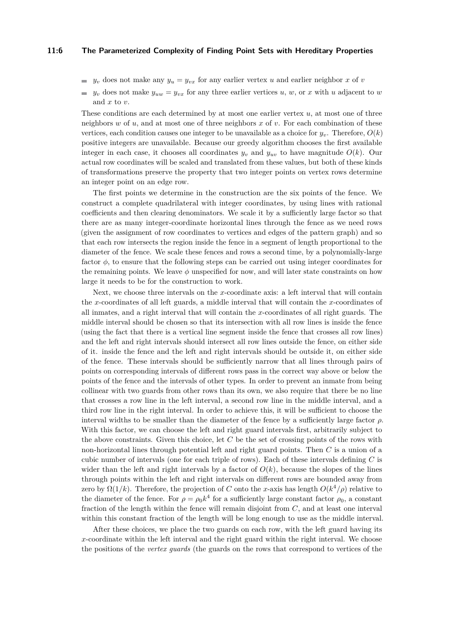#### **11:6 The Parameterized Complexity of Finding Point Sets with Hereditary Properties**

- *y*<sub>*v*</sub> does not make any  $y_u = y_{vx}$  for any earlier vertex *u* and earlier neighbor *x* of *v*
- $y_v$  does not make  $y_{uw} = y_{vx}$  for any three earlier vertices *u*, *w*, or *x* with *u* adjacent to *w* and *x* to *v*.

These conditions are each determined by at most one earlier vertex *u*, at most one of three neighbors *w* of *u*, and at most one of three neighbors *x* of *v*. For each combination of these vertices, each condition causes one integer to be unavailable as a choice for  $y<sub>v</sub>$ . Therefore,  $O(k)$ positive integers are unavailable. Because our greedy algorithm chooses the first available integer in each case, it chooses all coordinates  $y_v$  and  $y_{uv}$  to have magnitude  $O(k)$ . Our actual row coordinates will be scaled and translated from these values, but both of these kinds of transformations preserve the property that two integer points on vertex rows determine an integer point on an edge row.

The first points we determine in the construction are the six points of the fence. We construct a complete quadrilateral with integer coordinates, by using lines with rational coefficients and then clearing denominators. We scale it by a sufficiently large factor so that there are as many integer-coordinate horizontal lines through the fence as we need rows (given the assignment of row coordinates to vertices and edges of the pattern graph) and so that each row intersects the region inside the fence in a segment of length proportional to the diameter of the fence. We scale these fences and rows a second time, by a polynomially-large factor  $\phi$ , to ensure that the following steps can be carried out using integer coordinates for the remaining points. We leave  $\phi$  unspecified for now, and will later state constraints on how large it needs to be for the construction to work.

Next, we choose three intervals on the *x*-coordinate axis: a left interval that will contain the *x*-coordinates of all left guards, a middle interval that will contain the *x*-coordinates of all inmates, and a right interval that will contain the *x*-coordinates of all right guards. The middle interval should be chosen so that its intersection with all row lines is inside the fence (using the fact that there is a vertical line segment inside the fence that crosses all row lines) and the left and right intervals should intersect all row lines outside the fence, on either side of it. inside the fence and the left and right intervals should be outside it, on either side of the fence. These intervals should be sufficiently narrow that all lines through pairs of points on corresponding intervals of different rows pass in the correct way above or below the points of the fence and the intervals of other types. In order to prevent an inmate from being collinear with two guards from other rows than its own, we also require that there be no line that crosses a row line in the left interval, a second row line in the middle interval, and a third row line in the right interval. In order to achieve this, it will be sufficient to choose the interval widths to be smaller than the diameter of the fence by a sufficiently large factor *ρ*. With this factor, we can choose the left and right guard intervals first, arbitrarily subject to the above constraints. Given this choice, let *C* be the set of crossing points of the rows with non-horizontal lines through potential left and right guard points. Then *C* is a union of a cubic number of intervals (one for each triple of rows). Each of these intervals defining *C* is wider than the left and right intervals by a factor of  $O(k)$ , because the slopes of the lines through points within the left and right intervals on different rows are bounded away from zero by  $\Omega(1/k)$ . Therefore, the projection of *C* onto the *x*-axis has length  $O(k^4/\rho)$  relative to the diameter of the fence. For  $\rho = \rho_0 k^4$  for a sufficiently large constant factor  $\rho_0$ , a constant fraction of the length within the fence will remain disjoint from *C*, and at least one interval within this constant fraction of the length will be long enough to use as the middle interval.

After these choices, we place the two guards on each row, with the left guard having its *x*-coordinate within the left interval and the right guard within the right interval. We choose the positions of the *vertex guards* (the guards on the rows that correspond to vertices of the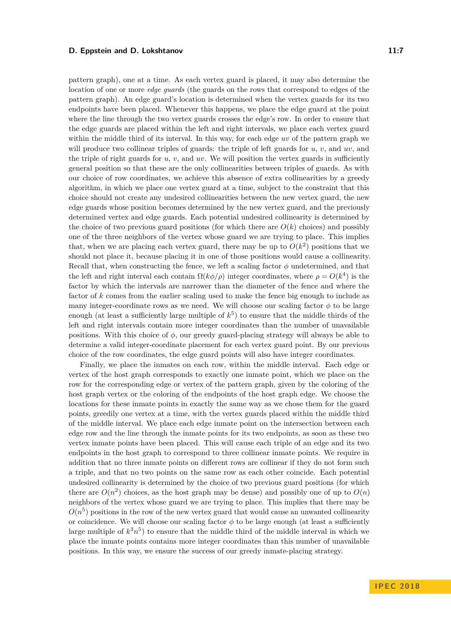#### **D. Eppstein and D. Lokshtanov 11:7 11:7**

pattern graph), one at a time. As each vertex guard is placed, it may also determine the location of one or more *edge guards* (the guards on the rows that correspond to edges of the pattern graph). An edge guard's location is determined when the vertex guards for its two endpoints have been placed. Whenever this happens, we place the edge guard at the point where the line through the two vertex guards crosses the edge's row. In order to ensure that the edge guards are placed within the left and right intervals, we place each vertex guard within the middle third of its interval. In this way, for each edge *uv* of the pattern graph we will produce two collinear triples of guards: the triple of left guards for *u*, *v*, and *uv*, and the triple of right guards for  $u, v$ , and  $uv$ . We will position the vertex guards in sufficiently general position so that these are the only collinearities between triples of guards. As with our choice of row coordinates, we achieve this absence of extra collinearities by a greedy algorithm, in which we place one vertex guard at a time, subject to the constraint that this choice should not create any undesired collinearities between the new vertex guard, the new edge guards whose position becomes determined by the new vertex guard, and the previously determined vertex and edge guards. Each potential undesired collinearity is determined by the choice of two previous guard positions (for which there are  $O(k)$  choices) and possibly one of the three neighbors of the vertex whose guard we are trying to place. This implies that, when we are placing each vertex guard, there may be up to  $O(k^2)$  positions that we should not place it, because placing it in one of those positions would cause a collinearity. Recall that, when constructing the fence, we left a scaling factor *φ* undetermined, and that the left and right interval each contain  $\Omega(k\phi/\rho)$  integer coordinates, where  $\rho = O(k^4)$  is the factor by which the intervals are narrower than the diameter of the fence and where the factor of *k* comes from the earlier scaling used to make the fence big enough to include as many integer-coordinate rows as we need. We will choose our scaling factor  $\phi$  to be large enough (at least a sufficiently large multiple of *k* 5 ) to ensure that the middle thirds of the left and right intervals contain more integer coordinates than the number of unavailable positions. With this choice of *φ*, our greedy guard-placing strategy will always be able to determine a valid integer-coordinate placement for each vertex guard point. By our previous choice of the row coordinates, the edge guard points will also have integer coordinates.

Finally, we place the inmates on each row, within the middle interval. Each edge or vertex of the host graph corresponds to exactly one inmate point, which we place on the row for the corresponding edge or vertex of the pattern graph, given by the coloring of the host graph vertex or the coloring of the endpoints of the host graph edge. We choose the locations for these inmate points in exactly the same way as we chose them for the guard points, greedily one vertex at a time, with the vertex guards placed within the middle third of the middle interval. We place each edge inmate point on the intersection between each edge row and the line through the inmate points for its two endpoints, as soon as these two vertex inmate points have been placed. This will cause each triple of an edge and its two endpoints in the host graph to correspond to three collinear inmate points. We require in addition that no three inmate points on different rows are collinear if they do not form such a triple, and that no two points on the same row as each other coincide. Each potential undesired collinearity is determined by the choice of two previous guard positions (for which there are  $O(n^2)$  choices, as the host graph may be dense) and possibly one of up to  $O(n)$ neighbors of the vertex whose guard we are trying to place. This implies that there may be  $O(n^5)$  positions in the row of the new vertex guard that would cause an unwanted collinearity or coincidence. We will choose our scaling factor  $\phi$  to be large enough (at least a sufficiently large multiple of  $k^3n^5$ ) to ensure that the middle third of the middle interval in which we place the inmate points contains more integer coordinates than this number of unavailable positions. In this way, we ensure the success of our greedy inmate-placing strategy.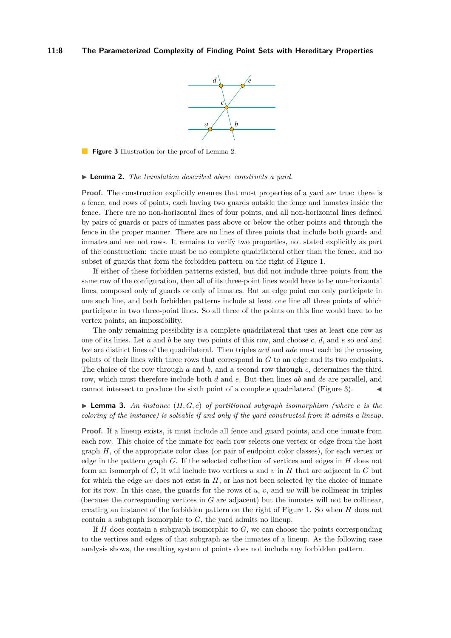#### <span id="page-7-1"></span>**11:8 The Parameterized Complexity of Finding Point Sets with Hereditary Properties**



**Figure 3** Illustration for the proof of [Lemma 2.](#page-7-0)

#### <span id="page-7-0"></span>I **Lemma 2.** *The translation described above constructs a yard.*

**Proof.** The construction explicitly ensures that most properties of a yard are true: there is a fence, and rows of points, each having two guards outside the fence and inmates inside the fence. There are no non-horizontal lines of four points, and all non-horizontal lines defined by pairs of guards or pairs of inmates pass above or below the other points and through the fence in the proper manner. There are no lines of three points that include both guards and inmates and are not rows. It remains to verify two properties, not stated explicitly as part of the construction: there must be no complete quadrilateral other than the fence, and no subset of guards that form the forbidden pattern on the right of [Figure 1.](#page-2-0)

If either of these forbidden patterns existed, but did not include three points from the same row of the configuration, then all of its three-point lines would have to be non-horizontal lines, composed only of guards or only of inmates. But an edge point can only participate in one such line, and both forbidden patterns include at least one line all three points of which participate in two three-point lines. So all three of the points on this line would have to be vertex points, an impossibility.

The only remaining possibility is a complete quadrilateral that uses at least one row as one of its lines. Let *a* and *b* be any two points of this row, and choose *c*, *d*, and *e* so *acd* and *bce* are distinct lines of the quadrilateral. Then triples *acd* and *ade* must each be the crossing points of their lines with three rows that correspond in *G* to an edge and its two endpoints. The choice of the row through *a* and *b*, and a second row through *c*, determines the third row, which must therefore include both *d* and *e*. But then lines *ab* and *de* are parallel, and cannot intersect to produce the sixth point of a complete quadrilateral [\(Figure 3\)](#page-7-1).

### **Example 3.** An instance  $(H, G, c)$  of partitioned subgraph isomorphism (where c is the *coloring of the instance) is solvable if and only if the yard constructed from it admits a lineup.*

**Proof.** If a lineup exists, it must include all fence and guard points, and one inmate from each row. This choice of the inmate for each row selects one vertex or edge from the host graph *H*, of the appropriate color class (or pair of endpoint color classes), for each vertex or edge in the pattern graph *G*. If the selected collection of vertices and edges in *H* does not form an isomorph of *G*, it will include two vertices *u* and *v* in *H* that are adjacent in *G* but for which the edge  $uv$  does not exist in  $H$ , or has not been selected by the choice of inmate for its row. In this case, the guards for the rows of *u*, *v*, and *uv* will be collinear in triples (because the corresponding vertices in *G* are adjacent) but the inmates will not be collinear, creating an instance of the forbidden pattern on the right of [Figure 1.](#page-2-0) So when *H* does not contain a subgraph isomorphic to *G*, the yard admits no lineup.

If *H* does contain a subgraph isomorphic to *G*, we can choose the points corresponding to the vertices and edges of that subgraph as the inmates of a lineup. As the following case analysis shows, the resulting system of points does not include any forbidden pattern.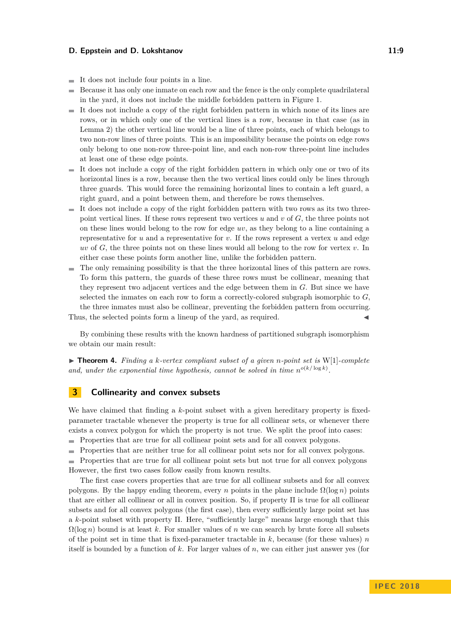#### **D. Eppstein and D. Lokshtanov** 11:9

- It does not include four points in a line. m.
- Because it has only one inmate on each row and the fence is the only complete quadrilateral  $\blacksquare$ in the yard, it does not include the middle forbidden pattern in [Figure 1.](#page-2-0)
- $\blacksquare$  It does not include a copy of the right forbidden pattern in which none of its lines are rows, or in which only one of the vertical lines is a row, because in that case (as in [Lemma 2\)](#page-7-0) the other vertical line would be a line of three points, each of which belongs to two non-row lines of three points. This is an impossibility because the points on edge rows only belong to one non-row three-point line, and each non-row three-point line includes at least one of these edge points.
- It does not include a copy of the right forbidden pattern in which only one or two of its horizontal lines is a row, because then the two vertical lines could only be lines through three guards. This would force the remaining horizontal lines to contain a left guard, a right guard, and a point between them, and therefore be rows themselves.
- $\blacksquare$  It does not include a copy of the right forbidden pattern with two rows as its two threepoint vertical lines. If these rows represent two vertices *u* and *v* of *G*, the three points not on these lines would belong to the row for edge *uv*, as they belong to a line containing a representative for  $u$  and a representative for  $v$ . If the rows represent a vertex  $u$  and edge *uv* of *G*, the three points not on these lines would all belong to the row for vertex *v*. In either case these points form another line, unlike the forbidden pattern.
- The only remaining possibility is that the three horizontal lines of this pattern are rows. To form this pattern, the guards of these three rows must be collinear, meaning that they represent two adjacent vertices and the edge between them in *G*. But since we have selected the inmates on each row to form a correctly-colored subgraph isomorphic to *G*, the three inmates must also be collinear, preventing the forbidden pattern from occurring.

Thus, the selected points form a lineup of the yard, as required.

By combining these results with the known hardness of partitioned subgraph isomorphism we obtain our main result:

 $\triangleright$  **Theorem 4.** Finding a k-vertex compliant subset of a given *n*-point set is W[1]-complete and, under the exponential time hypothesis, cannot be solved in time  $n^{o(k/\log k)}$ .

### **3 Collinearity and convex subsets**

We have claimed that finding a *k*-point subset with a given hereditary property is fixedparameter tractable whenever the property is true for all collinear sets, or whenever there exists a convex polygon for which the property is not true. We split the proof into cases:

Properties that are true for all collinear point sets and for all convex polygons.

Properties that are neither true for all collinear point sets nor for all convex polygons.

 $\blacksquare$  Properties that are true for all collinear point sets but not true for all convex polygons However, the first two cases follow easily from known results.

The first case covers properties that are true for all collinear subsets and for all convex polygons. By the happy ending theorem, every *n* points in the plane include  $\Omega(\log n)$  points that are either all collinear or all in convex position. So, if property Π is true for all collinear subsets and for all convex polygons (the first case), then every sufficiently large point set has a *k*-point subset with property Π. Here, "sufficiently large" means large enough that this  $\Omega(\log n)$  bound is at least k. For smaller values of n we can search by brute force all subsets of the point set in time that is fixed-parameter tractable in *k*, because (for these values) *n* itself is bounded by a function of *k*. For larger values of *n*, we can either just answer yes (for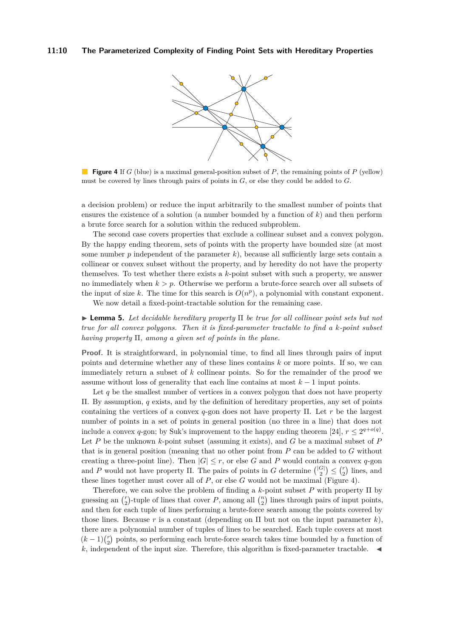<span id="page-9-0"></span>

**Figure 4** If *G* (blue) is a maximal general-position subset of *P*, the remaining points of *P* (yellow) must be covered by lines through pairs of points in *G*, or else they could be added to *G*.

a decision problem) or reduce the input arbitrarily to the smallest number of points that ensures the existence of a solution (a number bounded by a function of *k*) and then perform a brute force search for a solution within the reduced subproblem.

The second case covers properties that exclude a collinear subset and a convex polygon. By the happy ending theorem, sets of points with the property have bounded size (at most some number  $p$  independent of the parameter  $k$ ), because all sufficiently large sets contain a collinear or convex subset without the property, and by heredity do not have the property themselves. To test whether there exists a *k*-point subset with such a property, we answer no immediately when  $k > p$ . Otherwise we perform a brute-force search over all subsets of the input of size  $k$ . The time for this search is  $O(n^p)$ , a polynomial with constant exponent.

We now detail a fixed-point-tractable solution for the remaining case.

<span id="page-9-1"></span>I **Lemma 5.** *Let decidable hereditary property* Π *be true for all collinear point sets but not true for all convex polygons. Then it is fixed-parameter tractable to find a k-point subset having property* Π*, among a given set of points in the plane.*

**Proof.** It is straightforward, in polynomial time, to find all lines through pairs of input points and determine whether any of these lines contains *k* or more points. If so, we can immediately return a subset of *k* collinear points. So for the remainder of the proof we assume without loss of generality that each line contains at most  $k-1$  input points.

Let q be the smallest number of vertices in a convex polygon that does not have property Π. By assumption, *q* exists, and by the definition of hereditary properties, any set of points containing the vertices of a convex *q*-gon does not have property Π. Let *r* be the largest number of points in a set of points in general position (no three in a line) that does not include a convex *q*-gon; by Suk's improvement to the happy ending theorem [\[24\]](#page-13-4),  $r \leq 2^{q+o(q)}$ . Let *P* be the unknown *k*-point subset (assuming it exists), and *G* be a maximal subset of *P* that is in general position (meaning that no other point from *P* can be added to *G* without creating a three-point line). Then  $|G| \leq r$ , or else G and P would contain a convex q-gon and *P* would not have property  $\Pi$ . The pairs of points in *G* determine  $\binom{|G|}{2} \leq \binom{r}{2}$  lines, and these lines together must cover all of *P*, or else *G* would not be maximal [\(Figure 4\)](#page-9-0).

Therefore, we can solve the problem of finding a *k*-point subset *P* with property Π by guessing an  $\binom{r}{2}$ -tuple of lines that cover *P*, among all  $\binom{n}{2}$  lines through pairs of input points, and then for each tuple of lines performing a brute-force search among the points covered by those lines. Because  $r$  is a constant (depending on  $\Pi$  but not on the input parameter  $k$ ), there are a polynomial number of tuples of lines to be searched. Each tuple covers at most  $(k-1)\binom{r}{2}$  points, so performing each brute-force search takes time bounded by a function of  $k$ , independent of the input size. Therefore, this algorithm is fixed-parameter tractable.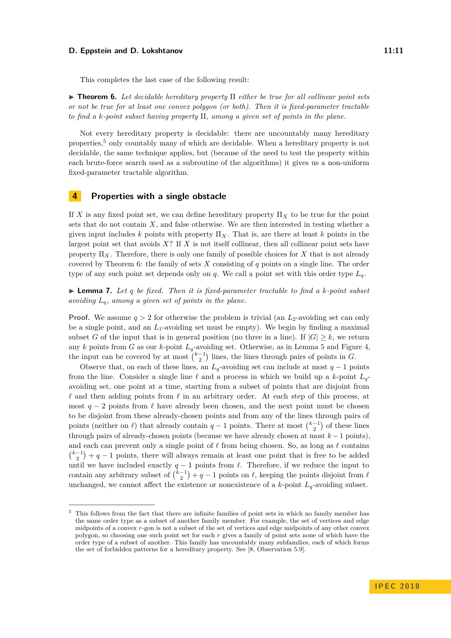#### **D. Eppstein and D. Lokshtanov 11:11**

<span id="page-10-1"></span>I **Theorem 6.** *Let decidable hereditary property* Π *either be true for all collinear point sets or not be true for at least one convex polygon (or both). Then it is fixed-parameter tractable to find a k-point subset having property* Π*, among a given set of points in the plane.*

Not every hereditary property is decidable: there are uncountably many hereditary properties,<sup>[5](#page-10-0)</sup> only countably many of which are decidable. When a hereditary property is not decidable, the same technique applies, but (because of the need to test the property within each brute-force search used as a subroutine of the algorithms) it gives us a non-uniform fixed-parameter tractable algorithm.

### **4 Properties with a single obstacle**

If X is any fixed point set, we can define hereditary property  $\Pi_X$  to be true for the point sets that do not contain *X*, and false otherwise. We are then interested in testing whether a given input includes  $k$  points with property  $\Pi_X$ . That is, are there at least  $k$  points in the largest point set that avoids *X*? If *X* is not itself collinear, then all collinear point sets have property  $\Pi_X$ . Therefore, there is only one family of possible choices for X that is not already covered by [Theorem 6:](#page-10-1) the family of sets *X* consisting of *q* points on a single line. The order type of any such point set depends only on *q*. We call a point set with this order type *Lq*.

 $\blacktriangleright$  **Lemma 7.** Let q be fixed. Then it is fixed-parameter tractable to find a *k*-point subset *avoiding Lq, among a given set of points in the plane.*

**Proof.** We assume  $q > 2$  for otherwise the problem is trivial (an  $L_2$ -avoiding set can only be a single point, and an *L*1-avoiding set must be empty). We begin by finding a maximal subset *G* of the input that is in general position (no three in a line). If  $|G| \geq k$ , we return any *k* points from *G* as our *k*-point *Lq*-avoiding set. Otherwise, as in [Lemma 5](#page-9-1) and [Figure 4,](#page-9-0) the input can be covered by at most  $\binom{k-1}{2}$  lines, the lines through pairs of points in *G*.

Observe that, on each of these lines, an  $L_q$ -avoiding set can include at most  $q-1$  points from the line. Consider a single line  $\ell$  and a process in which we build up a *k*-point  $L_q$ avoiding set, one point at a time, starting from a subset of points that are disjoint from  $\ell$  and then adding points from  $\ell$  in an arbitrary order. At each step of this process, at most  $q - 2$  points from  $\ell$  have already been chosen, and the next point must be chosen to be disjoint from these already-chosen points and from any of the lines through pairs of points (neither on  $\ell$ ) that already contain  $q-1$  points. There at most  $\binom{k-1}{2}$  of these lines through pairs of already-chosen points (because we have already chosen at most *k* −1 points), and each can prevent only a single point of  $\ell$  from being chosen. So, as long as  $\ell$  contains  ${k-1 \choose 2} + q - 1$  points, there will always remain at least one point that is free to be added until we have included exactly  $q - 1$  points from  $\ell$ . Therefore, if we reduce the input to contain any arbitrary subset of  $\binom{k-1}{2} + q - 1$  points on  $\ell$ , keeping the points disjoint from  $\ell$ unchanged, we cannot affect the existence or nonexistence of a  $k$ -point  $L_q$ -avoiding subset.

<span id="page-10-0"></span><sup>5</sup> This follows from the fact that there are infinite families of point sets in which no family member has the same order type as a subset of another family member. For example, the set of vertices and edge midpoints of a convex *r*-gon is not a subset of the set of vertices and edge midpoints of any other convex polygon, so choosing one such point set for each *r* gives a family of point sets none of which have the order type of a subset of another. This family has uncountably many subfamilies, each of which forms the set of forbidden patterns for a hereditary property. See [\[8,](#page-12-6) Observation 5.9].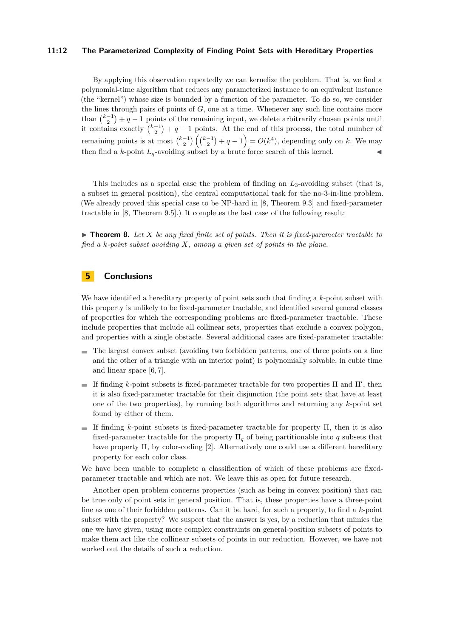#### **11:12 The Parameterized Complexity of Finding Point Sets with Hereditary Properties**

By applying this observation repeatedly we can kernelize the problem. That is, we find a polynomial-time algorithm that reduces any parameterized instance to an equivalent instance (the "kernel") whose size is bounded by a function of the parameter. To do so, we consider the lines through pairs of points of *G*, one at a time. Whenever any such line contains more than  $\binom{k-1}{2} + q - 1$  points of the remaining input, we delete arbitrarily chosen points until it contains exactly  $\binom{k-1}{2}+q-1$  points. At the end of this process, the total number of remaining points is at most  $\binom{k-1}{2}\binom{k-1}{2}+q-1$  =  $O(k^4)$ , depending only on *k*. We may then find a *k*-point  $L_q$ -avoiding subset by a brute force search of this kernel.

This includes as a special case the problem of finding an *L*3-avoiding subset (that is, a subset in general position), the central computational task for the no-3-in-line problem. (We already proved this special case to be NP-hard in [\[8,](#page-12-6) Theorem 9.3] and fixed-parameter tractable in [\[8,](#page-12-6) Theorem 9.5].) It completes the last case of the following result:

 $\triangleright$  **Theorem 8.** Let *X* be any fixed finite set of points. Then it is fixed-parameter tractable to *find a k-point subset avoiding X, among a given set of points in the plane.*

## **5 Conclusions**

We have identified a hereditary property of point sets such that finding a *k*-point subset with this property is unlikely to be fixed-parameter tractable, and identified several general classes of properties for which the corresponding problems are fixed-parameter tractable. These include properties that include all collinear sets, properties that exclude a convex polygon, and properties with a single obstacle. Several additional cases are fixed-parameter tractable:

- $\blacksquare$  The largest convex subset (avoiding two forbidden patterns, one of three points on a line and the other of a triangle with an interior point) is polynomially solvable, in cubic time and linear space [\[6,](#page-12-8) [7\]](#page-12-9).
- If finding  $k$ -point subsets is fixed-parameter tractable for two properties  $\Pi$  and  $\Pi'$ , then it is also fixed-parameter tractable for their disjunction (the point sets that have at least one of the two properties), by running both algorithms and returning any *k*-point set found by either of them.
- If finding  $k$ -point subsets is fixed-parameter tractable for property  $\Pi$ , then it is also fixed-parameter tractable for the property  $\Pi_q$  of being partitionable into q subsets that have property Π, by color-coding [\[2\]](#page-12-17). Alternatively one could use a different hereditary property for each color class.

We have been unable to complete a classification of which of these problems are fixedparameter tractable and which are not. We leave this as open for future research.

Another open problem concerns properties (such as being in convex position) that can be true only of point sets in general position. That is, these properties have a three-point line as one of their forbidden patterns. Can it be hard, for such a property, to find a *k*-point subset with the property? We suspect that the answer is yes, by a reduction that mimics the one we have given, using more complex constraints on general-position subsets of points to make them act like the collinear subsets of points in our reduction. However, we have not worked out the details of such a reduction.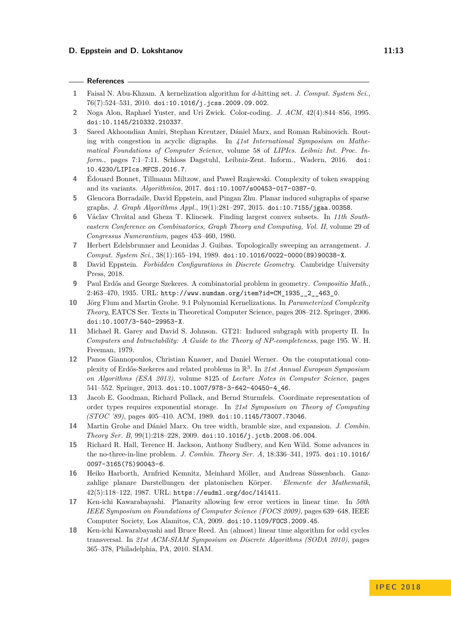#### **References**

- <span id="page-12-1"></span>**1** Faisal N. Abu-Khzam. A kernelization algorithm for *d*-hitting set. *J. Comput. System Sci.*, 76(7):524–531, 2010. [doi:10.1016/j.jcss.2009.09.002](http://dx.doi.org/10.1016/j.jcss.2009.09.002).
- <span id="page-12-17"></span>**2** Noga Alon, Raphael Yuster, and Uri Zwick. Color-coding. *J. ACM*, 42(4):844–856, 1995. [doi:10.1145/210332.210337](http://dx.doi.org/10.1145/210332.210337).
- <span id="page-12-14"></span>**3** Saeed Akhoondian Amiri, Stephan Kreutzer, Dániel Marx, and Roman Rabinovich. Routing with congestion in acyclic digraphs. In *41st International Symposium on Mathematical Foundations of Computer Science*, volume 58 of *LIPIcs. Leibniz Int. Proc. Inform.*, pages 7:1–7:11. Schloss Dagstuhl, Leibniz-Zent. Inform., Wadern, 2016. [doi:](http://dx.doi.org/10.4230/LIPIcs.MFCS.2016.7) [10.4230/LIPIcs.MFCS.2016.7](http://dx.doi.org/10.4230/LIPIcs.MFCS.2016.7).
- <span id="page-12-15"></span>**4** Édouard Bonnet, Tillmann Miltzow, and Paweł Rzążewski. Complexity of token swapping and its variants. *Algorithmica*, 2017. [doi:10.1007/s00453-017-0387-0](http://dx.doi.org/10.1007/s00453-017-0387-0).
- <span id="page-12-3"></span>**5** Glencora Borradaile, David Eppstein, and Pingan Zhu. Planar induced subgraphs of sparse graphs. *J. Graph Algorithms Appl.*, 19(1):281–297, 2015. [doi:10.7155/jgaa.00358](http://dx.doi.org/10.7155/jgaa.00358).
- <span id="page-12-8"></span>**6** Václav Chvátal and Gheza T. Klincsek. Finding largest convex subsets. In *11th Southeastern Conference on Combinatorics, Graph Theory and Computing, Vol. II*, volume 29 of *Congressus Numerantium*, pages 453–460, 1980.
- <span id="page-12-9"></span>**7** Herbert Edelsbrunner and Leonidas J. Guibas. Topologically sweeping an arrangement. *J. Comput. System Sci.*, 38(1):165–194, 1989. [doi:10.1016/0022-0000\(89\)90038-X](http://dx.doi.org/10.1016/0022-0000(89)90038-X).
- <span id="page-12-6"></span>**8** David Eppstein. *Forbidden Configurations in Discrete Geometry*. Cambridge University Press, 2018.
- <span id="page-12-7"></span>**9** Paul Erdős and George Szekeres. A combinatorial problem in geometry. *Compositio Math.*, 2:463–470, 1935. URL: [http://www.numdam.org/item?id=CM\\_1935\\_\\_2\\_\\_463\\_0](http://www.numdam.org/item?id=CM_1935__2__463_0).
- <span id="page-12-2"></span>**10** Jörg Flum and Martin Grohe. 9.1 Polynomial Kernelizations. In *Parameterized Complexity Theory*, EATCS Ser. Texts in Theoretical Computer Science, pages 208–212. Springer, 2006. [doi:10.1007/3-540-29953-X](http://dx.doi.org/10.1007/3-540-29953-X).
- <span id="page-12-0"></span>**11** Michael R. Garey and David S. Johnson. GT21: Induced subgraph with property Π. In *Computers and Intractability: A Guide to the Theory of NP-completeness*, page 195. W. H. Freeman, 1979.
- <span id="page-12-10"></span>**12** Panos Giannopoulos, Christian Knauer, and Daniel Werner. On the computational complexity of Erdős-Szekeres and related problems in R 3 . In *21st Annual European Symposium on Algorithms (ESA 2013)*, volume 8125 of *Lecture Notes in Computer Science*, pages 541–552. Springer, 2013. [doi:10.1007/978-3-642-40450-4\\_46](http://dx.doi.org/10.1007/978-3-642-40450-4_46).
- <span id="page-12-13"></span>**13** Jacob E. Goodman, Richard Pollack, and Bernd Sturmfels. Coordinate representation of order types requires exponential storage. In *21st Symposium on Theory of Computing (STOC '89)*, pages 405–410. ACM, 1989. [doi:10.1145/73007.73046](http://dx.doi.org/10.1145/73007.73046).
- <span id="page-12-16"></span>**14** Martin Grohe and Dániel Marx. On tree width, bramble size, and expansion. *J. Combin. Theory Ser. B*, 99(1):218–228, 2009. [doi:10.1016/j.jctb.2008.06.004](http://dx.doi.org/10.1016/j.jctb.2008.06.004).
- <span id="page-12-11"></span>**15** Richard R. Hall, Terence H. Jackson, Anthony Sudbery, and Ken Wild. Some advances in the no-three-in-line problem. *J. Combin. Theory Ser. A*, 18:336–341, 1975. [doi:10.1016/](http://dx.doi.org/10.1016/0097-3165(75)90043-6) [0097-3165\(75\)90043-6](http://dx.doi.org/10.1016/0097-3165(75)90043-6).
- <span id="page-12-12"></span>**16** Heiko Harborth, Arnfried Kemnitz, Meinhard Möller, and Andreas Süssenbach. Ganzzahlige planare Darstellungen der platonischen Körper. *Elemente der Mathematik*, 42(5):118–122, 1987. URL: <https://eudml.org/doc/141411>.
- <span id="page-12-4"></span>**17** Ken-ichi Kawarabayashi. Planarity allowing few error vertices in linear time. In *50th IEEE Symposium on Foundations of Computer Science (FOCS 2009)*, pages 639–648. IEEE Computer Society, Los Alamitos, CA, 2009. [doi:10.1109/FOCS.2009.45](http://dx.doi.org/10.1109/FOCS.2009.45).
- <span id="page-12-5"></span>**18** Ken-ichi Kawarabayashi and Bruce Reed. An (almost) linear time algorithm for odd cycles transversal. In *21st ACM-SIAM Symposium on Discrete Algorithms (SODA 2010)*, pages 365–378, Philadelphia, PA, 2010. SIAM.